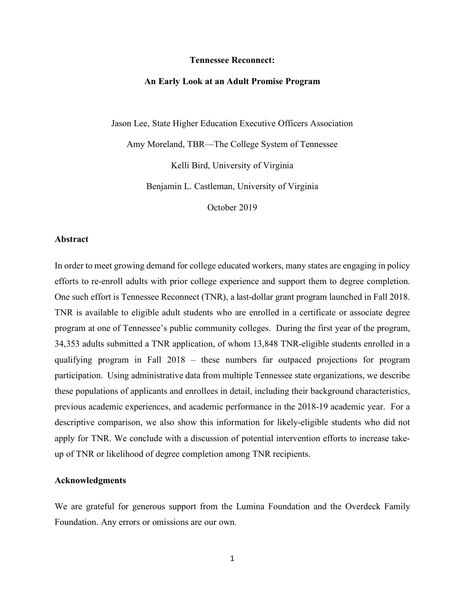#### **Tennessee Reconnect:**

#### **An Early Look at an Adult Promise Program**

Jason Lee, State Higher Education Executive Officers Association

Amy Moreland, TBR—The College System of Tennessee

Kelli Bird, University of Virginia

Benjamin L. Castleman, University of Virginia

October 2019

#### **Abstract**

In order to meet growing demand for college educated workers, many states are engaging in policy efforts to re-enroll adults with prior college experience and support them to degree completion. One such effort is Tennessee Reconnect (TNR), a last-dollar grant program launched in Fall 2018. TNR is available to eligible adult students who are enrolled in a certificate or associate degree program at one of Tennessee's public community colleges. During the first year of the program, 34,353 adults submitted a TNR application, of whom 13,848 TNR-eligible students enrolled in a qualifying program in Fall 2018 – these numbers far outpaced projections for program participation. Using administrative data from multiple Tennessee state organizations, we describe these populations of applicants and enrollees in detail, including their background characteristics, previous academic experiences, and academic performance in the 2018-19 academic year. For a descriptive comparison, we also show this information for likely-eligible students who did not apply for TNR. We conclude with a discussion of potential intervention efforts to increase takeup of TNR or likelihood of degree completion among TNR recipients.

#### **Acknowledgments**

We are grateful for generous support from the Lumina Foundation and the Overdeck Family Foundation. Any errors or omissions are our own.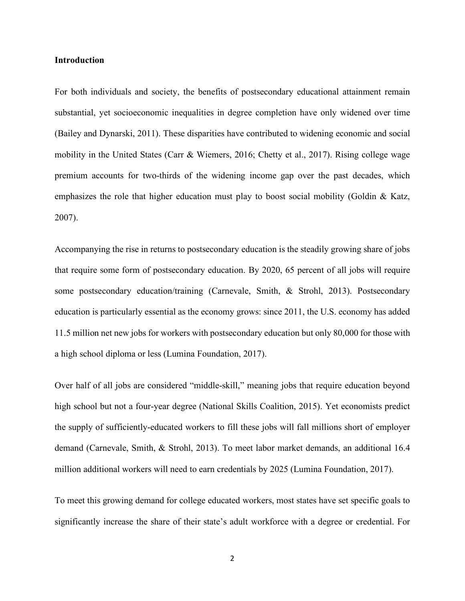#### **Introduction**

For both individuals and society, the benefits of postsecondary educational attainment remain substantial, yet socioeconomic inequalities in degree completion have only widened over time (Bailey and Dynarski, 2011). These disparities have contributed to widening economic and social mobility in the United States (Carr & Wiemers, 2016; Chetty et al., 2017). Rising college wage premium accounts for two-thirds of the widening income gap over the past decades, which emphasizes the role that higher education must play to boost social mobility (Goldin & Katz, 2007).

Accompanying the rise in returns to postsecondary education is the steadily growing share of jobs that require some form of postsecondary education. By 2020, 65 percent of all jobs will require some postsecondary education/training (Carnevale, Smith, & Strohl, 2013). Postsecondary education is particularly essential as the economy grows: since 2011, the U.S. economy has added 11.5 million net new jobs for workers with postsecondary education but only 80,000 for those with a high school diploma or less (Lumina Foundation, 2017).

Over half of all jobs are considered "middle-skill," meaning jobs that require education beyond high school but not a four-year degree (National Skills Coalition, 2015). Yet economists predict the supply of sufficiently-educated workers to fill these jobs will fall millions short of employer demand (Carnevale, Smith, & Strohl, 2013). To meet labor market demands, an additional 16.4 million additional workers will need to earn credentials by 2025 (Lumina Foundation, 2017).

To meet this growing demand for college educated workers, most states have set specific goals to significantly increase the share of their state's adult workforce with a degree or credential. For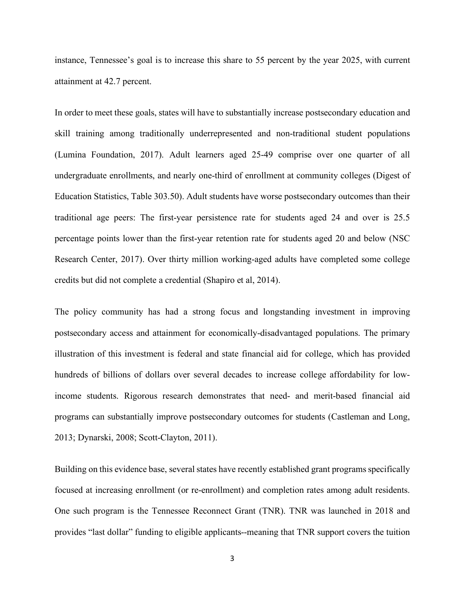instance, Tennessee's goal is to increase this share to 55 percent by the year 2025, with current attainment at 42.7 percent.

In order to meet these goals, states will have to substantially increase postsecondary education and skill training among traditionally underrepresented and non-traditional student populations (Lumina Foundation, 2017). Adult learners aged 25-49 comprise over one quarter of all undergraduate enrollments, and nearly one-third of enrollment at community colleges (Digest of Education Statistics, Table 303.50). Adult students have worse postsecondary outcomes than their traditional age peers: The first-year persistence rate for students aged 24 and over is 25.5 percentage points lower than the first-year retention rate for students aged 20 and below (NSC Research Center, 2017). Over thirty million working-aged adults have completed some college credits but did not complete a credential (Shapiro et al, 2014).

The policy community has had a strong focus and longstanding investment in improving postsecondary access and attainment for economically-disadvantaged populations. The primary illustration of this investment is federal and state financial aid for college, which has provided hundreds of billions of dollars over several decades to increase college affordability for lowincome students. Rigorous research demonstrates that need- and merit-based financial aid programs can substantially improve postsecondary outcomes for students (Castleman and Long, 2013; Dynarski, 2008; Scott-Clayton, 2011).

Building on this evidence base, several states have recently established grant programs specifically focused at increasing enrollment (or re-enrollment) and completion rates among adult residents. One such program is the Tennessee Reconnect Grant (TNR). TNR was launched in 2018 and provides "last dollar" funding to eligible applicants--meaning that TNR support covers the tuition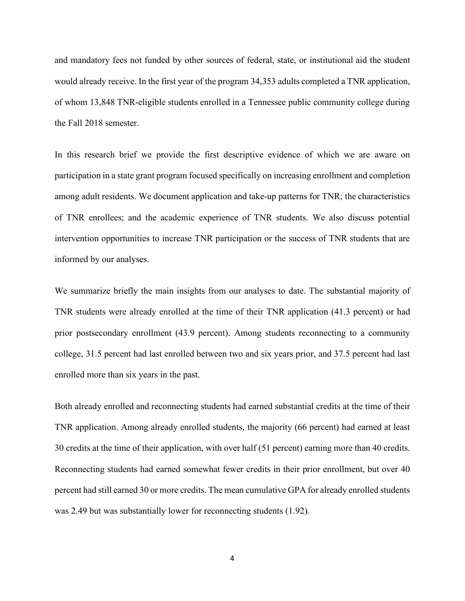and mandatory fees not funded by other sources of federal, state, or institutional aid the student would already receive. In the first year of the program 34,353 adults completed a TNR application, of whom 13,848 TNR-eligible students enrolled in a Tennessee public community college during the Fall 2018 semester.

In this research brief we provide the first descriptive evidence of which we are aware on participation in a state grant program focused specifically on increasing enrollment and completion among adult residents. We document application and take-up patterns for TNR; the characteristics of TNR enrollees; and the academic experience of TNR students. We also discuss potential intervention opportunities to increase TNR participation or the success of TNR students that are informed by our analyses.

We summarize briefly the main insights from our analyses to date. The substantial majority of TNR students were already enrolled at the time of their TNR application (41.3 percent) or had prior postsecondary enrollment (43.9 percent). Among students reconnecting to a community college, 31.5 percent had last enrolled between two and six years prior, and 37.5 percent had last enrolled more than six years in the past.

Both already enrolled and reconnecting students had earned substantial credits at the time of their TNR application. Among already enrolled students, the majority (66 percent) had earned at least 30 credits at the time of their application, with over half (51 percent) earning more than 40 credits. Reconnecting students had earned somewhat fewer credits in their prior enrollment, but over 40 percent had still earned 30 or more credits. The mean cumulative GPA for already enrolled students was 2.49 but was substantially lower for reconnecting students (1.92).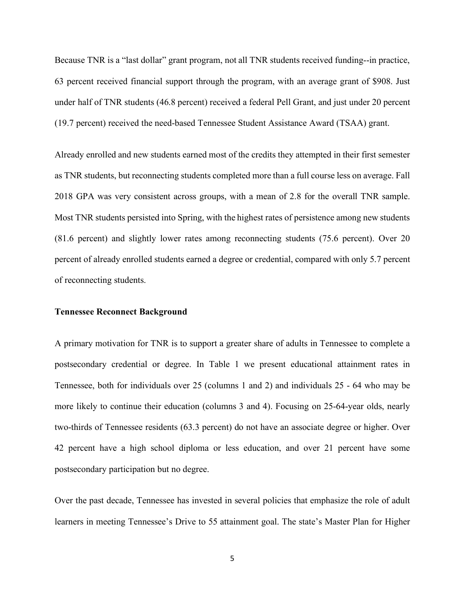Because TNR is a "last dollar" grant program, not all TNR students received funding--in practice, 63 percent received financial support through the program, with an average grant of \$908. Just under half of TNR students (46.8 percent) received a federal Pell Grant, and just under 20 percent (19.7 percent) received the need-based Tennessee Student Assistance Award (TSAA) grant.

Already enrolled and new students earned most of the credits they attempted in their first semester as TNR students, but reconnecting students completed more than a full course less on average. Fall 2018 GPA was very consistent across groups, with a mean of 2.8 for the overall TNR sample. Most TNR students persisted into Spring, with the highest rates of persistence among new students (81.6 percent) and slightly lower rates among reconnecting students (75.6 percent). Over 20 percent of already enrolled students earned a degree or credential, compared with only 5.7 percent of reconnecting students.

#### **Tennessee Reconnect Background**

A primary motivation for TNR is to support a greater share of adults in Tennessee to complete a postsecondary credential or degree. In Table 1 we present educational attainment rates in Tennessee, both for individuals over 25 (columns 1 and 2) and individuals 25 - 64 who may be more likely to continue their education (columns 3 and 4). Focusing on 25-64-year olds, nearly two-thirds of Tennessee residents (63.3 percent) do not have an associate degree or higher. Over 42 percent have a high school diploma or less education, and over 21 percent have some postsecondary participation but no degree.

Over the past decade, Tennessee has invested in several policies that emphasize the role of adult learners in meeting Tennessee's Drive to 55 attainment goal. The state's Master Plan for Higher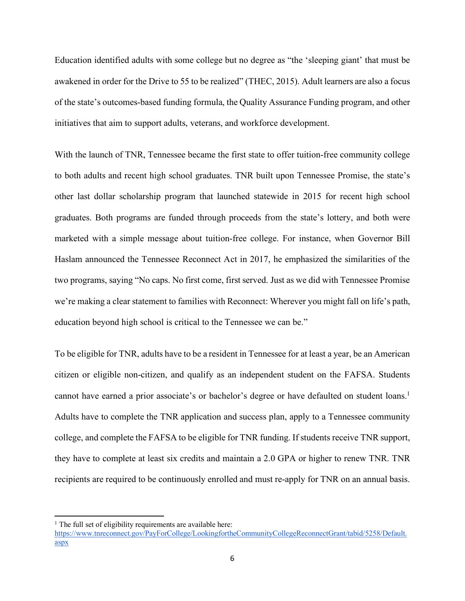Education identified adults with some college but no degree as "the 'sleeping giant' that must be awakened in order for the Drive to 55 to be realized" (THEC, 2015). Adult learners are also a focus of the state's outcomes-based funding formula, the Quality Assurance Funding program, and other initiatives that aim to support adults, veterans, and workforce development.

With the launch of TNR, Tennessee became the first state to offer tuition-free community college to both adults and recent high school graduates. TNR built upon Tennessee Promise, the state's other last dollar scholarship program that launched statewide in 2015 for recent high school graduates. Both programs are funded through proceeds from the state's lottery, and both were marketed with a simple message about tuition-free college. For instance, when Governor Bill Haslam announced the Tennessee Reconnect Act in 2017, he emphasized the similarities of the two programs, saying "No caps. No first come, first served. Just as we did with Tennessee Promise we're making a clear statement to families with Reconnect: Wherever you might fall on life's path, education beyond high school is critical to the Tennessee we can be."

To be eligible for TNR, adults have to be a resident in Tennessee for at least a year, be an American citizen or eligible non-citizen, and qualify as an independent student on the FAFSA. Students cannot have earned a prior associate's or bachelor's degree or have defaulted on student loans.1 Adults have to complete the TNR application and success plan, apply to a Tennessee community college, and complete the FAFSA to be eligible for TNR funding. If students receive TNR support, they have to complete at least six credits and maintain a 2.0 GPA or higher to renew TNR. TNR recipients are required to be continuously enrolled and must re-apply for TNR on an annual basis.

 $\overline{\phantom{a}}$ 

 $<sup>1</sup>$  The full set of eligibility requirements are available here:</sup>

https://www.tnreconnect.gov/PayForCollege/LookingfortheCommunityCollegeReconnectGrant/tabid/5258/Default. aspx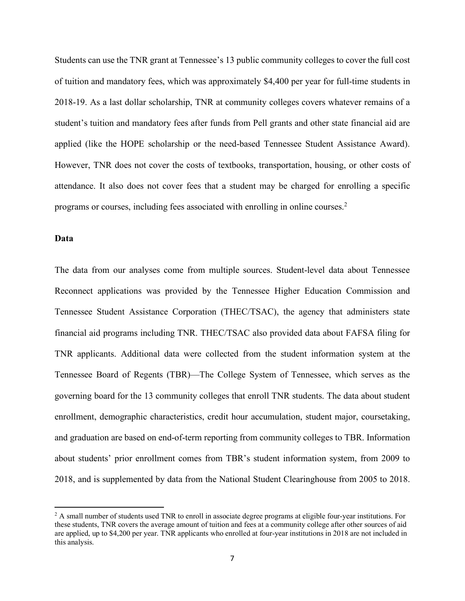Students can use the TNR grant at Tennessee's 13 public community colleges to cover the full cost of tuition and mandatory fees, which was approximately \$4,400 per year for full-time students in 2018-19. As a last dollar scholarship, TNR at community colleges covers whatever remains of a student's tuition and mandatory fees after funds from Pell grants and other state financial aid are applied (like the HOPE scholarship or the need-based Tennessee Student Assistance Award). However, TNR does not cover the costs of textbooks, transportation, housing, or other costs of attendance. It also does not cover fees that a student may be charged for enrolling a specific programs or courses, including fees associated with enrolling in online courses.2

#### **Data**

 $\overline{a}$ 

The data from our analyses come from multiple sources. Student-level data about Tennessee Reconnect applications was provided by the Tennessee Higher Education Commission and Tennessee Student Assistance Corporation (THEC/TSAC), the agency that administers state financial aid programs including TNR. THEC/TSAC also provided data about FAFSA filing for TNR applicants. Additional data were collected from the student information system at the Tennessee Board of Regents (TBR)—The College System of Tennessee, which serves as the governing board for the 13 community colleges that enroll TNR students. The data about student enrollment, demographic characteristics, credit hour accumulation, student major, coursetaking, and graduation are based on end-of-term reporting from community colleges to TBR. Information about students' prior enrollment comes from TBR's student information system, from 2009 to 2018, and is supplemented by data from the National Student Clearinghouse from 2005 to 2018.

<sup>&</sup>lt;sup>2</sup> A small number of students used TNR to enroll in associate degree programs at eligible four-year institutions. For these students, TNR covers the average amount of tuition and fees at a community college after other sources of aid are applied, up to \$4,200 per year. TNR applicants who enrolled at four-year institutions in 2018 are not included in this analysis.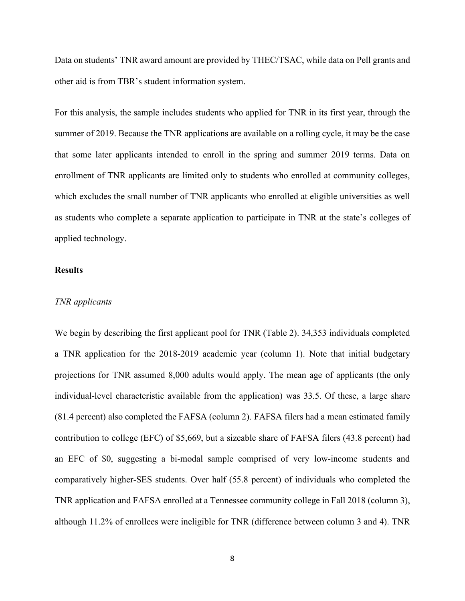Data on students' TNR award amount are provided by THEC/TSAC, while data on Pell grants and other aid is from TBR's student information system.

For this analysis, the sample includes students who applied for TNR in its first year, through the summer of 2019. Because the TNR applications are available on a rolling cycle, it may be the case that some later applicants intended to enroll in the spring and summer 2019 terms. Data on enrollment of TNR applicants are limited only to students who enrolled at community colleges, which excludes the small number of TNR applicants who enrolled at eligible universities as well as students who complete a separate application to participate in TNR at the state's colleges of applied technology.

#### **Results**

#### *TNR applicants*

We begin by describing the first applicant pool for TNR (Table 2). 34,353 individuals completed a TNR application for the 2018-2019 academic year (column 1). Note that initial budgetary projections for TNR assumed 8,000 adults would apply. The mean age of applicants (the only individual-level characteristic available from the application) was 33.5. Of these, a large share (81.4 percent) also completed the FAFSA (column 2). FAFSA filers had a mean estimated family contribution to college (EFC) of \$5,669, but a sizeable share of FAFSA filers (43.8 percent) had an EFC of \$0, suggesting a bi-modal sample comprised of very low-income students and comparatively higher-SES students. Over half (55.8 percent) of individuals who completed the TNR application and FAFSA enrolled at a Tennessee community college in Fall 2018 (column 3), although 11.2% of enrollees were ineligible for TNR (difference between column 3 and 4). TNR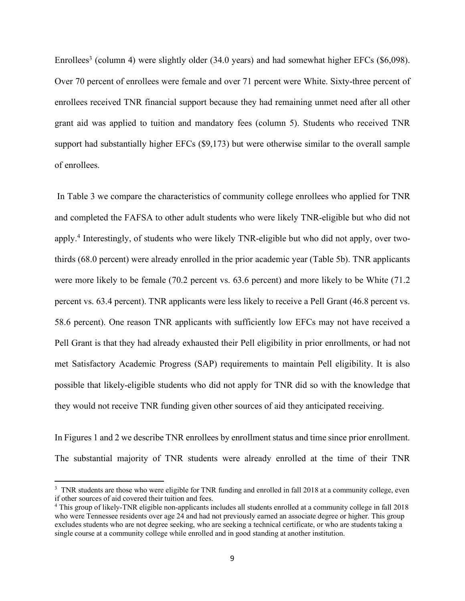Enrollees<sup>3</sup> (column 4) were slightly older (34.0 years) and had somewhat higher EFCs (\$6,098). Over 70 percent of enrollees were female and over 71 percent were White. Sixty-three percent of enrollees received TNR financial support because they had remaining unmet need after all other grant aid was applied to tuition and mandatory fees (column 5). Students who received TNR support had substantially higher EFCs (\$9,173) but were otherwise similar to the overall sample of enrollees.

In Table 3 we compare the characteristics of community college enrollees who applied for TNR and completed the FAFSA to other adult students who were likely TNR-eligible but who did not apply.4 Interestingly, of students who were likely TNR-eligible but who did not apply, over twothirds (68.0 percent) were already enrolled in the prior academic year (Table 5b). TNR applicants were more likely to be female (70.2 percent vs. 63.6 percent) and more likely to be White (71.2) percent vs. 63.4 percent). TNR applicants were less likely to receive a Pell Grant (46.8 percent vs. 58.6 percent). One reason TNR applicants with sufficiently low EFCs may not have received a Pell Grant is that they had already exhausted their Pell eligibility in prior enrollments, or had not met Satisfactory Academic Progress (SAP) requirements to maintain Pell eligibility. It is also possible that likely-eligible students who did not apply for TNR did so with the knowledge that they would not receive TNR funding given other sources of aid they anticipated receiving.

In Figures 1 and 2 we describe TNR enrollees by enrollment status and time since prior enrollment. The substantial majority of TNR students were already enrolled at the time of their TNR

l

<sup>&</sup>lt;sup>3</sup> TNR students are those who were eligible for TNR funding and enrolled in fall 2018 at a community college, even if other sources of aid covered their tuition and fees.

<sup>4</sup> This group of likely-TNR eligible non-applicants includes all students enrolled at a community college in fall 2018 who were Tennessee residents over age 24 and had not previously earned an associate degree or higher. This group excludes students who are not degree seeking, who are seeking a technical certificate, or who are students taking a single course at a community college while enrolled and in good standing at another institution.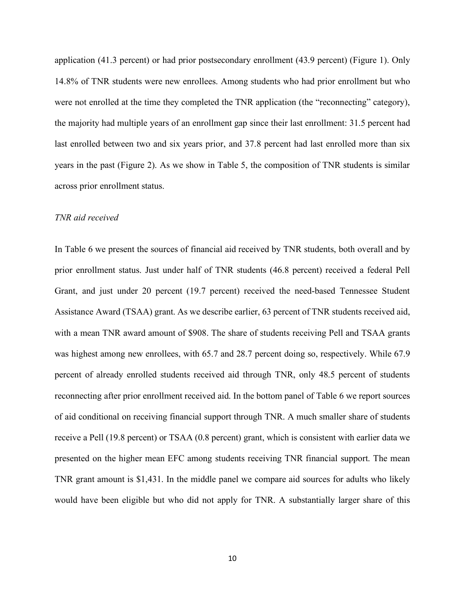application (41.3 percent) or had prior postsecondary enrollment (43.9 percent) (Figure 1). Only 14.8% of TNR students were new enrollees. Among students who had prior enrollment but who were not enrolled at the time they completed the TNR application (the "reconnecting" category), the majority had multiple years of an enrollment gap since their last enrollment: 31.5 percent had last enrolled between two and six years prior, and 37.8 percent had last enrolled more than six years in the past (Figure 2). As we show in Table 5, the composition of TNR students is similar across prior enrollment status.

#### *TNR aid received*

In Table 6 we present the sources of financial aid received by TNR students, both overall and by prior enrollment status. Just under half of TNR students (46.8 percent) received a federal Pell Grant, and just under 20 percent (19.7 percent) received the need-based Tennessee Student Assistance Award (TSAA) grant. As we describe earlier, 63 percent of TNR students received aid, with a mean TNR award amount of \$908. The share of students receiving Pell and TSAA grants was highest among new enrollees, with 65.7 and 28.7 percent doing so, respectively. While 67.9 percent of already enrolled students received aid through TNR, only 48.5 percent of students reconnecting after prior enrollment received aid. In the bottom panel of Table 6 we report sources of aid conditional on receiving financial support through TNR. A much smaller share of students receive a Pell (19.8 percent) or TSAA (0.8 percent) grant, which is consistent with earlier data we presented on the higher mean EFC among students receiving TNR financial support. The mean TNR grant amount is \$1,431. In the middle panel we compare aid sources for adults who likely would have been eligible but who did not apply for TNR. A substantially larger share of this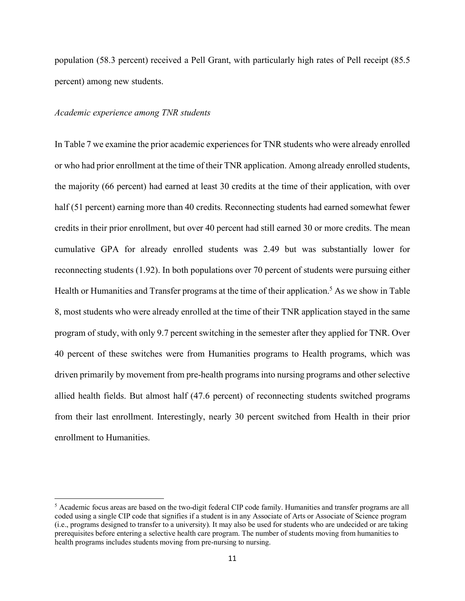population (58.3 percent) received a Pell Grant, with particularly high rates of Pell receipt (85.5 percent) among new students.

#### *Academic experience among TNR students*

l

In Table 7 we examine the prior academic experiences for TNR students who were already enrolled or who had prior enrollment at the time of their TNR application. Among already enrolled students, the majority (66 percent) had earned at least 30 credits at the time of their application, with over half (51 percent) earning more than 40 credits. Reconnecting students had earned somewhat fewer credits in their prior enrollment, but over 40 percent had still earned 30 or more credits. The mean cumulative GPA for already enrolled students was 2.49 but was substantially lower for reconnecting students (1.92). In both populations over 70 percent of students were pursuing either Health or Humanities and Transfer programs at the time of their application.<sup>5</sup> As we show in Table 8, most students who were already enrolled at the time of their TNR application stayed in the same program of study, with only 9.7 percent switching in the semester after they applied for TNR. Over 40 percent of these switches were from Humanities programs to Health programs, which was driven primarily by movement from pre-health programs into nursing programs and other selective allied health fields. But almost half (47.6 percent) of reconnecting students switched programs from their last enrollment. Interestingly, nearly 30 percent switched from Health in their prior enrollment to Humanities.

<sup>5</sup> Academic focus areas are based on the two-digit federal CIP code family. Humanities and transfer programs are all coded using a single CIP code that signifies if a student is in any Associate of Arts or Associate of Science program (i.e., programs designed to transfer to a university). It may also be used for students who are undecided or are taking prerequisites before entering a selective health care program. The number of students moving from humanities to health programs includes students moving from pre-nursing to nursing.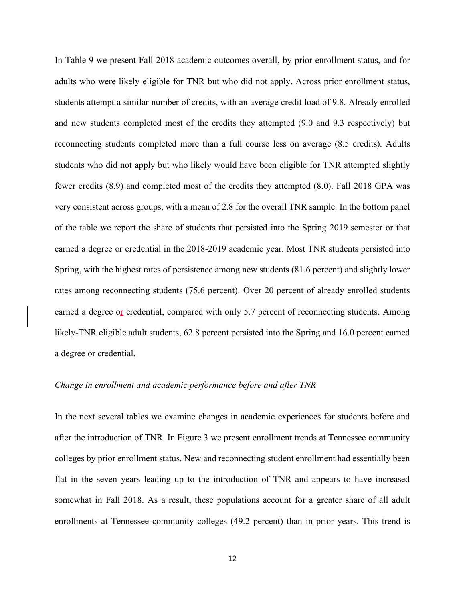In Table 9 we present Fall 2018 academic outcomes overall, by prior enrollment status, and for adults who were likely eligible for TNR but who did not apply. Across prior enrollment status, students attempt a similar number of credits, with an average credit load of 9.8. Already enrolled and new students completed most of the credits they attempted (9.0 and 9.3 respectively) but reconnecting students completed more than a full course less on average (8.5 credits). Adults students who did not apply but who likely would have been eligible for TNR attempted slightly fewer credits (8.9) and completed most of the credits they attempted (8.0). Fall 2018 GPA was very consistent across groups, with a mean of 2.8 for the overall TNR sample. In the bottom panel of the table we report the share of students that persisted into the Spring 2019 semester or that earned a degree or credential in the 2018-2019 academic year. Most TNR students persisted into Spring, with the highest rates of persistence among new students (81.6 percent) and slightly lower rates among reconnecting students (75.6 percent). Over 20 percent of already enrolled students earned a degree or credential, compared with only 5.7 percent of reconnecting students. Among likely-TNR eligible adult students, 62.8 percent persisted into the Spring and 16.0 percent earned a degree or credential.

#### *Change in enrollment and academic performance before and after TNR*

In the next several tables we examine changes in academic experiences for students before and after the introduction of TNR. In Figure 3 we present enrollment trends at Tennessee community colleges by prior enrollment status. New and reconnecting student enrollment had essentially been flat in the seven years leading up to the introduction of TNR and appears to have increased somewhat in Fall 2018. As a result, these populations account for a greater share of all adult enrollments at Tennessee community colleges (49.2 percent) than in prior years. This trend is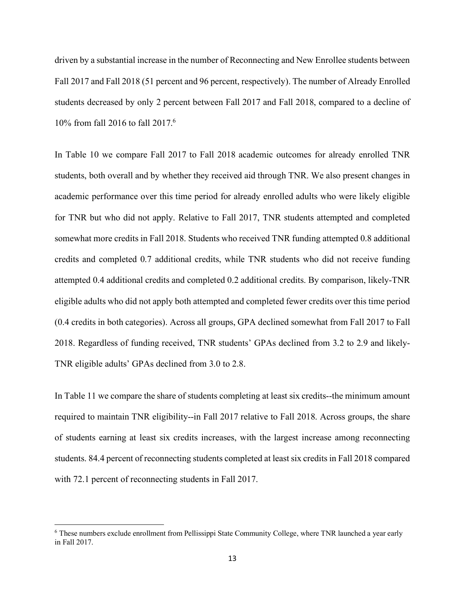driven by a substantial increase in the number of Reconnecting and New Enrollee students between Fall 2017 and Fall 2018 (51 percent and 96 percent, respectively). The number of Already Enrolled students decreased by only 2 percent between Fall 2017 and Fall 2018, compared to a decline of 10% from fall 2016 to fall 2017.6

In Table 10 we compare Fall 2017 to Fall 2018 academic outcomes for already enrolled TNR students, both overall and by whether they received aid through TNR. We also present changes in academic performance over this time period for already enrolled adults who were likely eligible for TNR but who did not apply. Relative to Fall 2017, TNR students attempted and completed somewhat more credits in Fall 2018. Students who received TNR funding attempted 0.8 additional credits and completed 0.7 additional credits, while TNR students who did not receive funding attempted 0.4 additional credits and completed 0.2 additional credits. By comparison, likely-TNR eligible adults who did not apply both attempted and completed fewer credits over this time period (0.4 credits in both categories). Across all groups, GPA declined somewhat from Fall 2017 to Fall 2018. Regardless of funding received, TNR students' GPAs declined from 3.2 to 2.9 and likely-TNR eligible adults' GPAs declined from 3.0 to 2.8.

In Table 11 we compare the share of students completing at least six credits--the minimum amount required to maintain TNR eligibility--in Fall 2017 relative to Fall 2018. Across groups, the share of students earning at least six credits increases, with the largest increase among reconnecting students. 84.4 percent of reconnecting students completed at least six credits in Fall 2018 compared with 72.1 percent of reconnecting students in Fall 2017.

l

<sup>6</sup> These numbers exclude enrollment from Pellissippi State Community College, where TNR launched a year early in Fall 2017.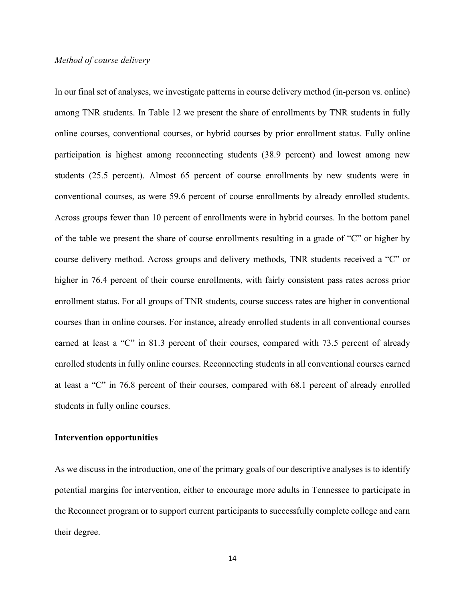#### *Method of course delivery*

In our final set of analyses, we investigate patterns in course delivery method (in-person vs. online) among TNR students. In Table 12 we present the share of enrollments by TNR students in fully online courses, conventional courses, or hybrid courses by prior enrollment status. Fully online participation is highest among reconnecting students (38.9 percent) and lowest among new students (25.5 percent). Almost 65 percent of course enrollments by new students were in conventional courses, as were 59.6 percent of course enrollments by already enrolled students. Across groups fewer than 10 percent of enrollments were in hybrid courses. In the bottom panel of the table we present the share of course enrollments resulting in a grade of "C" or higher by course delivery method. Across groups and delivery methods, TNR students received a "C" or higher in 76.4 percent of their course enrollments, with fairly consistent pass rates across prior enrollment status. For all groups of TNR students, course success rates are higher in conventional courses than in online courses. For instance, already enrolled students in all conventional courses earned at least a "C" in 81.3 percent of their courses, compared with 73.5 percent of already enrolled students in fully online courses. Reconnecting students in all conventional courses earned at least a "C" in 76.8 percent of their courses, compared with 68.1 percent of already enrolled students in fully online courses.

#### **Intervention opportunities**

As we discuss in the introduction, one of the primary goals of our descriptive analyses is to identify potential margins for intervention, either to encourage more adults in Tennessee to participate in the Reconnect program or to support current participants to successfully complete college and earn their degree.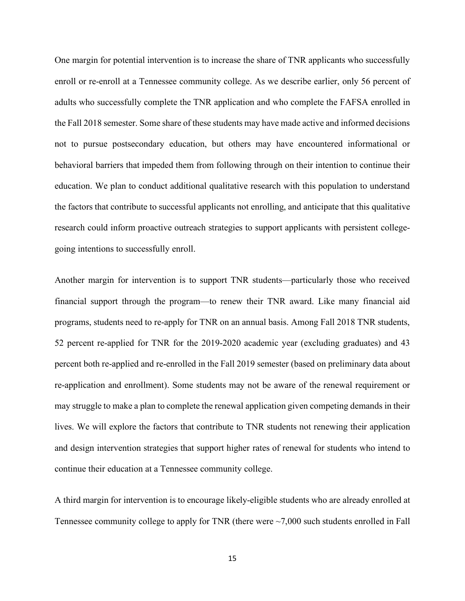One margin for potential intervention is to increase the share of TNR applicants who successfully enroll or re-enroll at a Tennessee community college. As we describe earlier, only 56 percent of adults who successfully complete the TNR application and who complete the FAFSA enrolled in the Fall 2018 semester. Some share of these students may have made active and informed decisions not to pursue postsecondary education, but others may have encountered informational or behavioral barriers that impeded them from following through on their intention to continue their education. We plan to conduct additional qualitative research with this population to understand the factors that contribute to successful applicants not enrolling, and anticipate that this qualitative research could inform proactive outreach strategies to support applicants with persistent collegegoing intentions to successfully enroll.

Another margin for intervention is to support TNR students—particularly those who received financial support through the program—to renew their TNR award. Like many financial aid programs, students need to re-apply for TNR on an annual basis. Among Fall 2018 TNR students, 52 percent re-applied for TNR for the 2019-2020 academic year (excluding graduates) and 43 percent both re-applied and re-enrolled in the Fall 2019 semester (based on preliminary data about re-application and enrollment). Some students may not be aware of the renewal requirement or may struggle to make a plan to complete the renewal application given competing demands in their lives. We will explore the factors that contribute to TNR students not renewing their application and design intervention strategies that support higher rates of renewal for students who intend to continue their education at a Tennessee community college.

A third margin for intervention is to encourage likely-eligible students who are already enrolled at Tennessee community college to apply for TNR (there were ~7,000 such students enrolled in Fall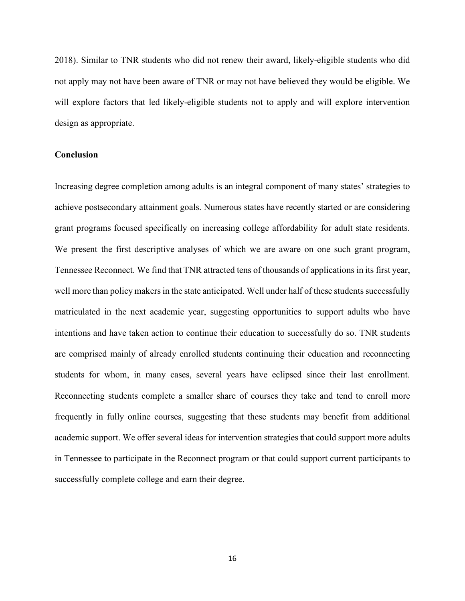2018). Similar to TNR students who did not renew their award, likely-eligible students who did not apply may not have been aware of TNR or may not have believed they would be eligible. We will explore factors that led likely-eligible students not to apply and will explore intervention design as appropriate.

#### **Conclusion**

Increasing degree completion among adults is an integral component of many states' strategies to achieve postsecondary attainment goals. Numerous states have recently started or are considering grant programs focused specifically on increasing college affordability for adult state residents. We present the first descriptive analyses of which we are aware on one such grant program, Tennessee Reconnect. We find that TNR attracted tens of thousands of applications in its first year, well more than policy makers in the state anticipated. Well under half of these students successfully matriculated in the next academic year, suggesting opportunities to support adults who have intentions and have taken action to continue their education to successfully do so. TNR students are comprised mainly of already enrolled students continuing their education and reconnecting students for whom, in many cases, several years have eclipsed since their last enrollment. Reconnecting students complete a smaller share of courses they take and tend to enroll more frequently in fully online courses, suggesting that these students may benefit from additional academic support. We offer several ideas for intervention strategies that could support more adults in Tennessee to participate in the Reconnect program or that could support current participants to successfully complete college and earn their degree.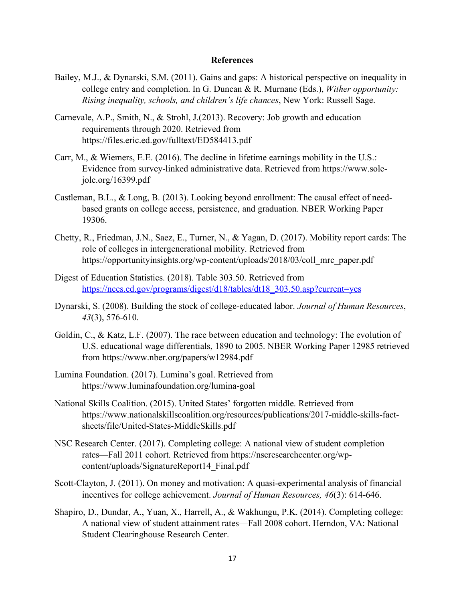#### **References**

- Bailey, M.J., & Dynarski, S.M. (2011). Gains and gaps: A historical perspective on inequality in college entry and completion. In G. Duncan & R. Murnane (Eds.), *Wither opportunity: Rising inequality, schools, and children's life chances*, New York: Russell Sage.
- Carnevale, A.P., Smith, N., & Strohl, J.(2013). Recovery: Job growth and education requirements through 2020. Retrieved from https://files.eric.ed.gov/fulltext/ED584413.pdf
- Carr, M., & Wiemers, E.E. (2016). The decline in lifetime earnings mobility in the U.S.: Evidence from survey-linked administrative data. Retrieved from https://www.solejole.org/16399.pdf
- Castleman, B.L., & Long, B. (2013). Looking beyond enrollment: The causal effect of needbased grants on college access, persistence, and graduation. NBER Working Paper 19306.
- Chetty, R., Friedman, J.N., Saez, E., Turner, N., & Yagan, D. (2017). Mobility report cards: The role of colleges in intergenerational mobility. Retrieved from https://opportunityinsights.org/wp-content/uploads/2018/03/coll\_mrc\_paper.pdf
- Digest of Education Statistics. (2018). Table 303.50. Retrieved from https://nces.ed.gov/programs/digest/d18/tables/dt18\_303.50.asp?current=yes
- Dynarski, S. (2008). Building the stock of college-educated labor. *Journal of Human Resources*, *43*(3), 576-610.
- Goldin, C., & Katz, L.F. (2007). The race between education and technology: The evolution of U.S. educational wage differentials, 1890 to 2005. NBER Working Paper 12985 retrieved from https://www.nber.org/papers/w12984.pdf
- Lumina Foundation. (2017). Lumina's goal. Retrieved from https://www.luminafoundation.org/lumina-goal
- National Skills Coalition. (2015). United States' forgotten middle. Retrieved from https://www.nationalskillscoalition.org/resources/publications/2017-middle-skills-factsheets/file/United-States-MiddleSkills.pdf
- NSC Research Center. (2017). Completing college: A national view of student completion rates—Fall 2011 cohort. Retrieved from https://nscresearchcenter.org/wpcontent/uploads/SignatureReport14\_Final.pdf
- Scott-Clayton, J. (2011). On money and motivation: A quasi-experimental analysis of financial incentives for college achievement. *Journal of Human Resources, 46*(3): 614-646.
- Shapiro, D., Dundar, A., Yuan, X., Harrell, A., & Wakhungu, P.K. (2014). Completing college: A national view of student attainment rates—Fall 2008 cohort. Herndon, VA: National Student Clearinghouse Research Center.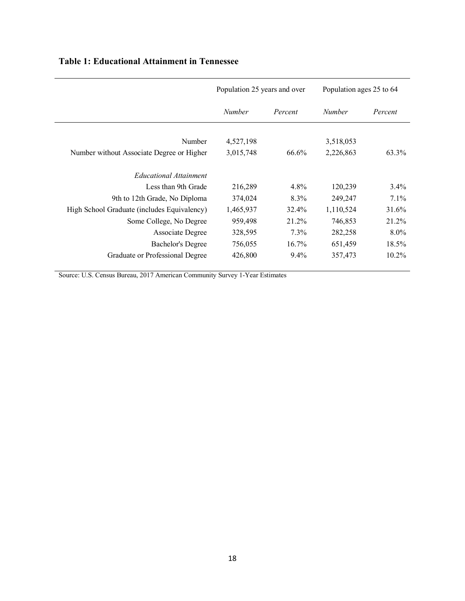|                                             | Population 25 years and over |          | Population ages 25 to 64 |          |
|---------------------------------------------|------------------------------|----------|--------------------------|----------|
|                                             | <b>Number</b>                | Percent  | <b>Number</b>            | Percent  |
| Number                                      | 4,527,198                    |          | 3,518,053                |          |
| Number without Associate Degree or Higher   | 3,015,748                    | 66.6%    | 2,226,863                | 63.3%    |
| <b>Educational Attainment</b>               |                              |          |                          |          |
| Less than 9th Grade                         | 216,289                      | 4.8%     | 120,239                  | $3.4\%$  |
| 9th to 12th Grade, No Diploma               | 374,024                      | 8.3%     | 249,247                  | 7.1%     |
| High School Graduate (includes Equivalency) | 1,465,937                    | 32.4%    | 1,110,524                | 31.6%    |
| Some College, No Degree                     | 959,498                      | 21.2%    | 746,853                  | 21.2%    |
| Associate Degree                            | 328,595                      | $7.3\%$  | 282,258                  | 8.0%     |
| <b>Bachelor's Degree</b>                    | 756,055                      | $16.7\%$ | 651,459                  | 18.5%    |
| Graduate or Professional Degree             | 426,800                      | $9.4\%$  | 357,473                  | $10.2\%$ |

### **Table 1: Educational Attainment in Tennessee**

Source: U.S. Census Bureau, 2017 American Community Survey 1-Year Estimates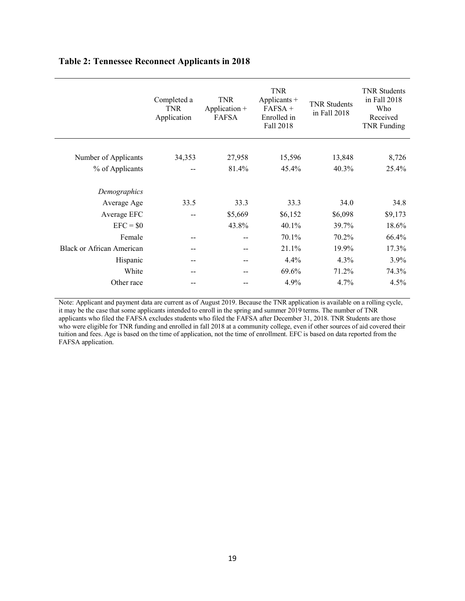|                                  | Completed a<br><b>TNR</b><br>Application | <b>TNR</b><br>Application $+$<br><b>FAFSA</b> | <b>TNR</b><br>Applicants +<br>$FAFSA +$<br>Enrolled in<br>Fall 2018 | <b>TNR Students</b><br>in Fall 2018 | <b>TNR Students</b><br>in Fall 2018<br>Who<br>Received<br>TNR Funding |
|----------------------------------|------------------------------------------|-----------------------------------------------|---------------------------------------------------------------------|-------------------------------------|-----------------------------------------------------------------------|
|                                  |                                          |                                               |                                                                     |                                     |                                                                       |
| Number of Applicants             | 34,353                                   | 27,958                                        | 15,596                                                              | 13,848                              | 8,726                                                                 |
| % of Applicants                  |                                          | 81.4%                                         | 45.4%                                                               | 40.3%                               | 25.4%                                                                 |
| Demographics                     |                                          |                                               |                                                                     |                                     |                                                                       |
| Average Age                      | 33.5                                     | 33.3                                          | 33.3                                                                | 34.0                                | 34.8                                                                  |
| Average EFC                      | --                                       | \$5,669                                       | \$6,152                                                             | \$6,098                             | \$9,173                                                               |
| $EFC = $0$                       |                                          | 43.8%                                         | 40.1%                                                               | 39.7%                               | 18.6%                                                                 |
| Female                           | --                                       | --                                            | 70.1%                                                               | 70.2%                               | 66.4%                                                                 |
| <b>Black or African American</b> | --                                       | --                                            | 21.1%                                                               | 19.9%                               | 17.3%                                                                 |
| Hispanic                         | --                                       | --                                            | 4.4%                                                                | 4.3%                                | 3.9%                                                                  |
| White                            |                                          |                                               | 69.6%                                                               | 71.2%                               | 74.3%                                                                 |
| Other race                       |                                          |                                               | 4.9%                                                                | 4.7%                                | 4.5%                                                                  |

### **Table 2: Tennessee Reconnect Applicants in 2018**

Note: Applicant and payment data are current as of August 2019. Because the TNR application is available on a rolling cycle, it may be the case that some applicants intended to enroll in the spring and summer 2019 terms. The number of TNR applicants who filed the FAFSA excludes students who filed the FAFSA after December 31, 2018. TNR Students are those who were eligible for TNR funding and enrolled in fall 2018 at a community college, even if other sources of aid covered their tuition and fees. Age is based on the time of application, not the time of enrollment. EFC is based on data reported from the FAFSA application.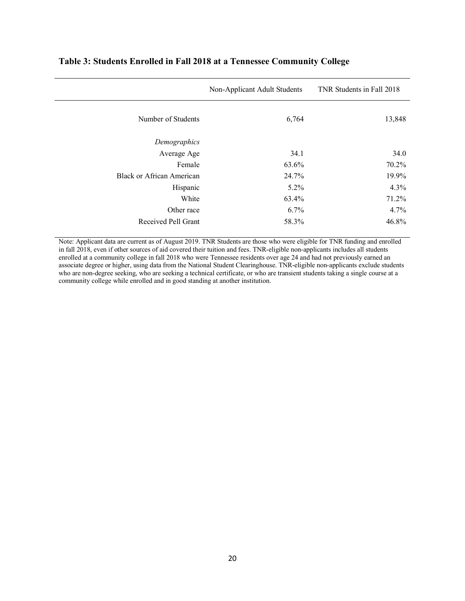|                           | Non-Applicant Adult Students | TNR Students in Fall 2018 |
|---------------------------|------------------------------|---------------------------|
| Number of Students        | 6,764                        | 13,848                    |
| Demographics              |                              |                           |
| Average Age               | 34.1                         | 34.0                      |
| Female                    | 63.6%                        | 70.2%                     |
| Black or African American | 24.7%                        | 19.9%                     |
| Hispanic                  | $5.2\%$                      | 4.3%                      |
| White                     | 63.4%                        | 71.2%                     |
| Other race                | 6.7%                         | 4.7%                      |
| Received Pell Grant       | 58.3%                        | 46.8%                     |

### **Table 3: Students Enrolled in Fall 2018 at a Tennessee Community College**

Note: Applicant data are current as of August 2019. TNR Students are those who were eligible for TNR funding and enrolled in fall 2018, even if other sources of aid covered their tuition and fees. TNR-eligible non-applicants includes all students enrolled at a community college in fall 2018 who were Tennessee residents over age 24 and had not previously earned an associate degree or higher, using data from the National Student Clearinghouse. TNR-eligible non-applicants exclude students who are non-degree seeking, who are seeking a technical certificate, or who are transient students taking a single course at a community college while enrolled and in good standing at another institution.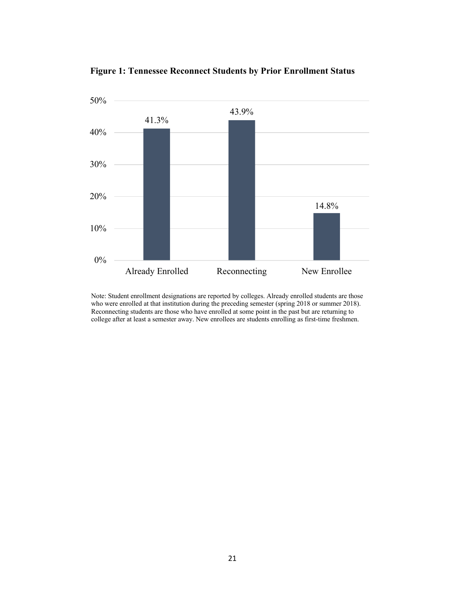

**Figure 1: Tennessee Reconnect Students by Prior Enrollment Status**

Note: Student enrollment designations are reported by colleges. Already enrolled students are those who were enrolled at that institution during the preceding semester (spring 2018 or summer 2018). Reconnecting students are those who have enrolled at some point in the past but are returning to college after at least a semester away. New enrollees are students enrolling as first-time freshmen.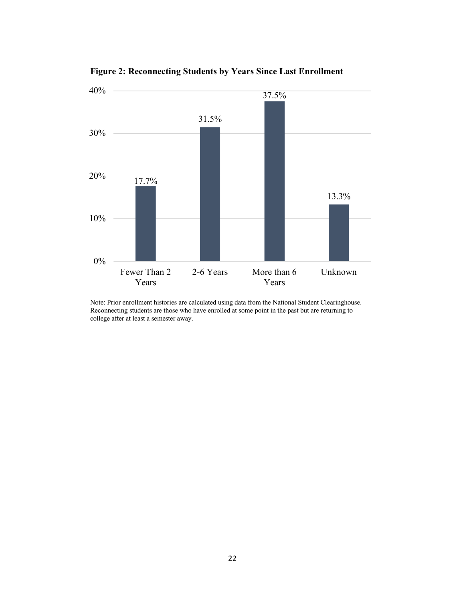

**Figure 2: Reconnecting Students by Years Since Last Enrollment** 

Note: Prior enrollment histories are calculated using data from the National Student Clearinghouse. Reconnecting students are those who have enrolled at some point in the past but are returning to college after at least a semester away.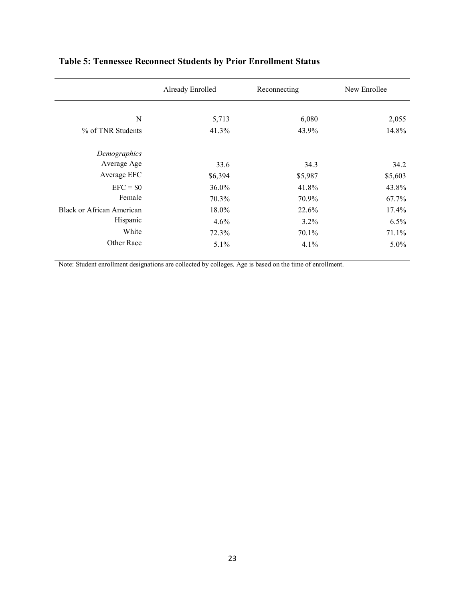|                                  | Already Enrolled | Reconnecting | New Enrollee |
|----------------------------------|------------------|--------------|--------------|
|                                  |                  |              |              |
| N                                | 5,713            | 6,080        | 2,055        |
| % of TNR Students                | 41.3%            | 43.9%        | 14.8%        |
| Demographics                     |                  |              |              |
| Average Age                      | 33.6             | 34.3         | 34.2         |
| Average EFC                      | \$6,394          | \$5,987      | \$5,603      |
| $EFC = $0$                       | 36.0%            | 41.8%        | 43.8%        |
| Female                           | 70.3%            | 70.9%        | 67.7%        |
| <b>Black or African American</b> | 18.0%            | 22.6%        | 17.4%        |
| Hispanic                         | 4.6%             | $3.2\%$      | 6.5%         |
| White                            | 72.3%            | $70.1\%$     | 71.1%        |
| Other Race                       | $5.1\%$          | 4.1%         | $5.0\%$      |

# **Table 5: Tennessee Reconnect Students by Prior Enrollment Status**

Note: Student enrollment designations are collected by colleges. Age is based on the time of enrollment.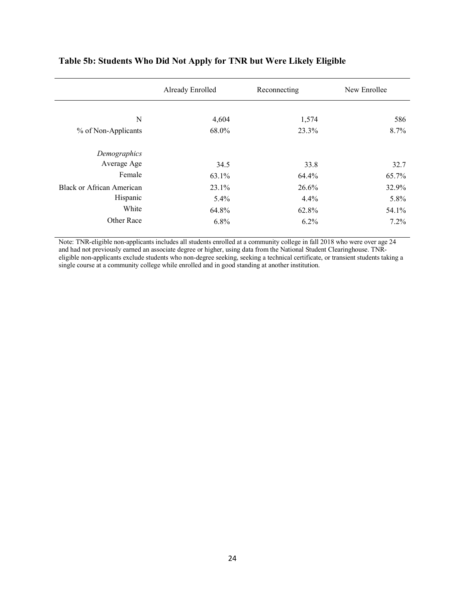|                           | Already Enrolled | Reconnecting | New Enrollee |
|---------------------------|------------------|--------------|--------------|
| N                         | 4,604            | 1,574        | 586          |
| % of Non-Applicants       | 68.0%            | 23.3%        | 8.7%         |
| Demographics              |                  |              |              |
| Average Age               | 34.5             | 33.8         | 32.7         |
| Female                    | 63.1%            | 64.4%        | 65.7%        |
| Black or African American | 23.1%            | 26.6%        | 32.9%        |
| Hispanic                  | 5.4%             | 4.4%         | 5.8%         |
| White                     | 64.8%            | 62.8%        | 54.1%        |
| Other Race                | 6.8%             | $6.2\%$      | 7.2%         |

### **Table 5b: Students Who Did Not Apply for TNR but Were Likely Eligible**

Note: TNR-eligible non-applicants includes all students enrolled at a community college in fall 2018 who were over age 24 and had not previously earned an associate degree or higher, using data from the National Student Clearinghouse. TNReligible non-applicants exclude students who non-degree seeking, seeking a technical certificate, or transient students taking a single course at a community college while enrolled and in good standing at another institution.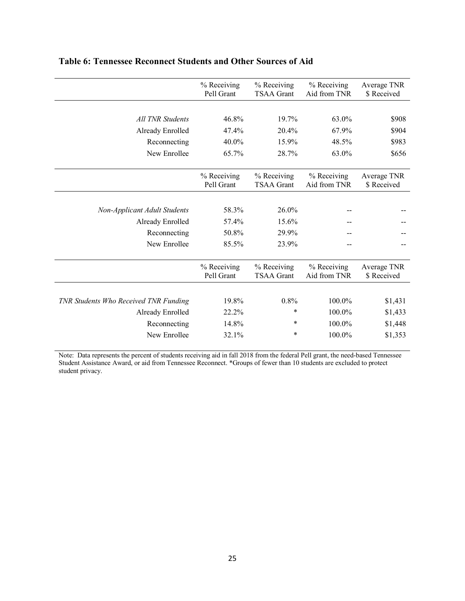|                                       | % Receiving<br>Pell Grant | % Receiving<br><b>TSAA Grant</b> | % Receiving<br>Aid from TNR | Average TNR<br>\$ Received |
|---------------------------------------|---------------------------|----------------------------------|-----------------------------|----------------------------|
|                                       |                           |                                  |                             |                            |
| All TNR Students                      | 46.8%                     | 19.7%                            | 63.0%                       | \$908                      |
| Already Enrolled                      | 47.4%                     | 20.4%                            | 67.9%                       | \$904                      |
| Reconnecting                          | 40.0%                     | 15.9%                            | 48.5%                       | \$983                      |
| New Enrollee                          | 65.7%                     | 28.7%                            | 63.0%                       | \$656                      |
|                                       | % Receiving<br>Pell Grant | % Receiving<br><b>TSAA Grant</b> | % Receiving<br>Aid from TNR | Average TNR<br>\$ Received |
|                                       |                           |                                  |                             |                            |
| <b>Non-Applicant Adult Students</b>   | 58.3%                     | $26.0\%$                         |                             |                            |
| Already Enrolled                      | 57.4%                     | 15.6%                            |                             |                            |
| Reconnecting                          | 50.8%                     | 29.9%                            |                             |                            |
| New Enrollee                          | 85.5%                     | 23.9%                            |                             |                            |
|                                       | % Receiving<br>Pell Grant | % Receiving<br><b>TSAA Grant</b> | % Receiving<br>Aid from TNR | Average TNR<br>\$ Received |
|                                       |                           |                                  |                             |                            |
| TNR Students Who Received TNR Funding | 19.8%                     | 0.8%                             | 100.0%                      | \$1,431                    |
| Already Enrolled                      | 22.2%                     | ∗                                | 100.0%                      | \$1,433                    |
| Reconnecting                          | 14.8%                     | ∗                                | 100.0%                      | \$1,448                    |
| New Enrollee                          | 32.1%                     | ∗                                | 100.0%                      | \$1,353                    |

### **Table 6: Tennessee Reconnect Students and Other Sources of Aid**

Note: Data represents the percent of students receiving aid in fall 2018 from the federal Pell grant, the need-based Tennessee Student Assistance Award, or aid from Tennessee Reconnect. \*Groups of fewer than 10 students are excluded to protect student privacy.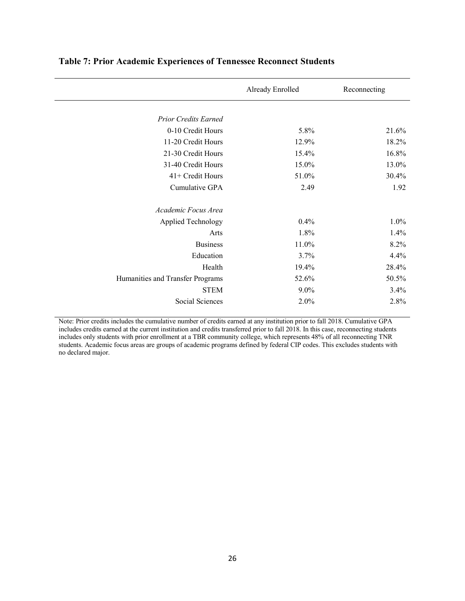|                                  | Already Enrolled | Reconnecting |
|----------------------------------|------------------|--------------|
|                                  |                  |              |
| <b>Prior Credits Earned</b>      |                  |              |
| 0-10 Credit Hours                | 5.8%             | 21.6%        |
| 11-20 Credit Hours               | 12.9%            | 18.2%        |
| 21-30 Credit Hours               | 15.4%            | 16.8%        |
| 31-40 Credit Hours               | 15.0%            | 13.0%        |
| 41+ Credit Hours                 | 51.0%            | 30.4%        |
| Cumulative GPA                   | 2.49             | 1.92         |
| Academic Focus Area              |                  |              |
| Applied Technology               | 0.4%             | 1.0%         |
| Arts                             | 1.8%             | 1.4%         |
| <b>Business</b>                  | 11.0%            | 8.2%         |
| Education                        | 3.7%             | 4.4%         |
| Health                           | 19.4%            | 28.4%        |
| Humanities and Transfer Programs | 52.6%            | 50.5%        |
| <b>STEM</b>                      | $9.0\%$          | 3.4%         |
| Social Sciences                  | 2.0%             | 2.8%         |

### **Table 7: Prior Academic Experiences of Tennessee Reconnect Students**

Note: Prior credits includes the cumulative number of credits earned at any institution prior to fall 2018. Cumulative GPA includes credits earned at the current institution and credits transferred prior to fall 2018. In this case, reconnecting students includes only students with prior enrollment at a TBR community college, which represents 48% of all reconnecting TNR students. Academic focus areas are groups of academic programs defined by federal CIP codes. This excludes students with no declared major.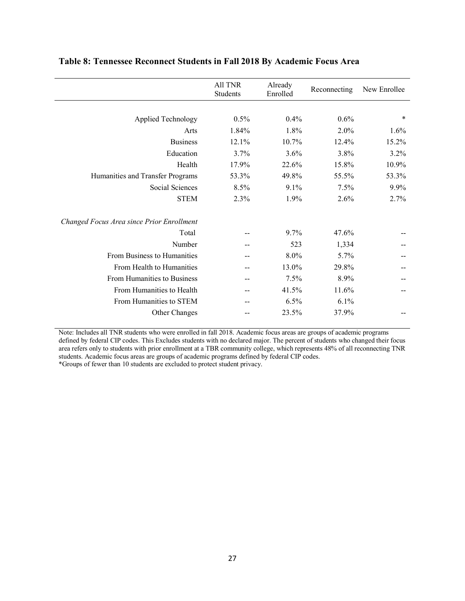|                                           | All TNR<br>Students | Already<br>Enrolled | Reconnecting | New Enrollee |
|-------------------------------------------|---------------------|---------------------|--------------|--------------|
|                                           |                     |                     |              |              |
| <b>Applied Technology</b>                 | 0.5%                | 0.4%                | 0.6%         | *            |
| Arts                                      | 1.84%               | 1.8%                | 2.0%         | 1.6%         |
| <b>Business</b>                           | 12.1%               | 10.7%               | 12.4%        | 15.2%        |
| Education                                 | 3.7%                | 3.6%                | 3.8%         | 3.2%         |
| Health                                    | 17.9%               | 22.6%               | 15.8%        | 10.9%        |
| Humanities and Transfer Programs          | 53.3%               | 49.8%               | 55.5%        | 53.3%        |
| Social Sciences                           | 8.5%                | 9.1%                | 7.5%         | 9.9%         |
| <b>STEM</b>                               | 2.3%                | 1.9%                | 2.6%         | 2.7%         |
| Changed Focus Area since Prior Enrollment |                     |                     |              |              |
| Total                                     |                     | 9.7%                | 47.6%        |              |
| Number                                    |                     | 523                 | 1,334        |              |
| From Business to Humanities               |                     | 8.0%                | 5.7%         |              |
| From Health to Humanities                 |                     | 13.0%               | 29.8%        |              |
| From Humanities to Business               | --                  | 7.5%                | 8.9%         |              |
| From Humanities to Health                 |                     | 41.5%               | 11.6%        |              |
| From Humanities to STEM                   |                     | 6.5%                | 6.1%         |              |
| Other Changes                             |                     | 23.5%               | 37.9%        |              |

### **Table 8: Tennessee Reconnect Students in Fall 2018 By Academic Focus Area**

Note: Includes all TNR students who were enrolled in fall 2018. Academic focus areas are groups of academic programs defined by federal CIP codes. This Excludes students with no declared major. The percent of students who changed their focus area refers only to students with prior enrollment at a TBR community college, which represents 48% of all reconnecting TNR students. Academic focus areas are groups of academic programs defined by federal CIP codes. \*Groups of fewer than 10 students are excluded to protect student privacy.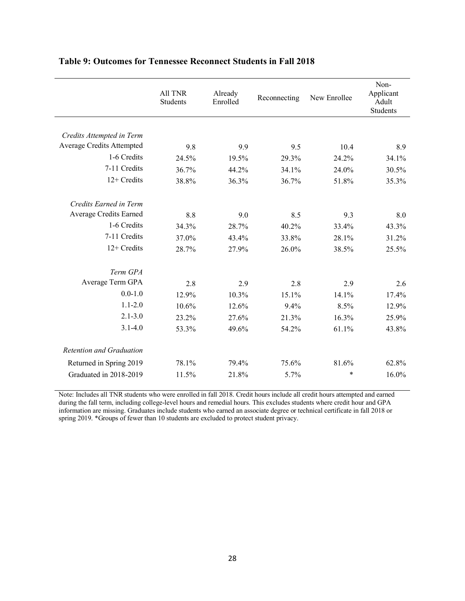|                                  | All TNR<br>Students | Already<br>Enrolled | Reconnecting | New Enrollee | Non-<br>Applicant<br>Adult<br><b>Students</b> |
|----------------------------------|---------------------|---------------------|--------------|--------------|-----------------------------------------------|
|                                  |                     |                     |              |              |                                               |
| Credits Attempted in Term        |                     |                     |              |              |                                               |
| <b>Average Credits Attempted</b> | 9.8                 | 9.9                 | 9.5          | 10.4         | 8.9                                           |
| 1-6 Credits                      | 24.5%               | 19.5%               | 29.3%        | 24.2%        | 34.1%                                         |
| 7-11 Credits                     | 36.7%               | 44.2%               | 34.1%        | 24.0%        | 30.5%                                         |
| 12+ Credits                      | 38.8%               | 36.3%               | 36.7%        | 51.8%        | 35.3%                                         |
| Credits Earned in Term           |                     |                     |              |              |                                               |
| Average Credits Earned           | 8.8                 | 9.0                 | 8.5          | 9.3          | 8.0                                           |
| 1-6 Credits                      | 34.3%               | 28.7%               | 40.2%        | 33.4%        | 43.3%                                         |
| 7-11 Credits                     | 37.0%               | 43.4%               | 33.8%        | 28.1%        | 31.2%                                         |
| 12+ Credits                      | 28.7%               | 27.9%               | 26.0%        | 38.5%        | 25.5%                                         |
| Term GPA                         |                     |                     |              |              |                                               |
| Average Term GPA                 | 2.8                 | 2.9                 | 2.8          | 2.9          | 2.6                                           |
| $0.0 - 1.0$                      | 12.9%               | 10.3%               | 15.1%        | 14.1%        | 17.4%                                         |
| $1.1 - 2.0$                      | 10.6%               | 12.6%               | 9.4%         | 8.5%         | 12.9%                                         |
| $2.1 - 3.0$                      | 23.2%               | 27.6%               | 21.3%        | 16.3%        | 25.9%                                         |
| $3.1 - 4.0$                      | 53.3%               | 49.6%               | 54.2%        | 61.1%        | 43.8%                                         |
| Retention and Graduation         |                     |                     |              |              |                                               |
| Returned in Spring 2019          | 78.1%               | 79.4%               | 75.6%        | 81.6%        | 62.8%                                         |
| Graduated in 2018-2019           | 11.5%               | 21.8%               | 5.7%         | $\ast$       | 16.0%                                         |

### **Table 9: Outcomes for Tennessee Reconnect Students in Fall 2018**

Note: Includes all TNR students who were enrolled in fall 2018. Credit hours include all credit hours attempted and earned during the fall term, including college-level hours and remedial hours. This excludes students where credit hour and GPA information are missing. Graduates include students who earned an associate degree or technical certificate in fall 2018 or spring 2019. \*Groups of fewer than 10 students are excluded to protect student privacy.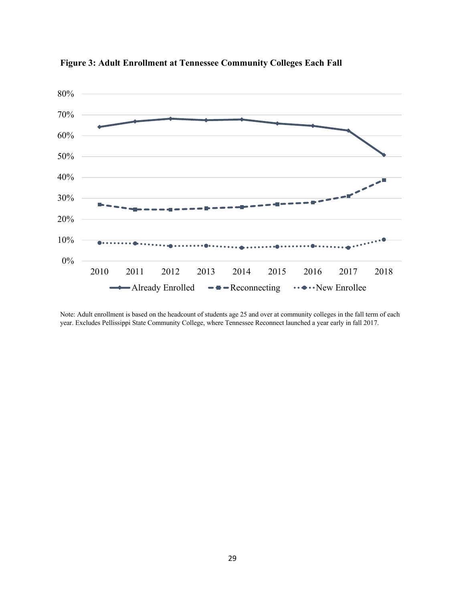

**Figure 3: Adult Enrollment at Tennessee Community Colleges Each Fall**

Note: Adult enrollment is based on the headcount of students age 25 and over at community colleges in the fall term of each year. Excludes Pellissippi State Community College, where Tennessee Reconnect launched a year early in fall 2017.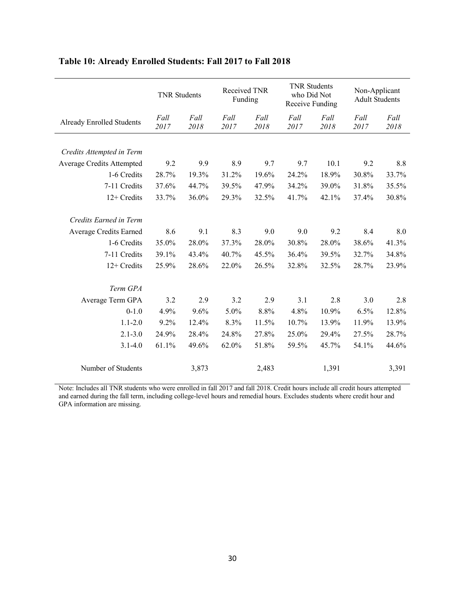|                                  | <b>TNR Students</b> |              | Received TNR<br>Funding |              | <b>TNR Students</b><br>who Did Not<br>Receive Funding |              | Non-Applicant<br><b>Adult Students</b> |              |
|----------------------------------|---------------------|--------------|-------------------------|--------------|-------------------------------------------------------|--------------|----------------------------------------|--------------|
| <b>Already Enrolled Students</b> | Fall<br>2017        | Fall<br>2018 | Fall<br>2017            | Fall<br>2018 | Fall<br>2017                                          | Fall<br>2018 | Fall<br>2017                           | Fall<br>2018 |
|                                  |                     |              |                         |              |                                                       |              |                                        |              |
| Credits Attempted in Term        |                     |              |                         |              |                                                       |              |                                        |              |
| Average Credits Attempted        | 9.2                 | 9.9          | 8.9                     | 9.7          | 9.7                                                   | 10.1         | 9.2                                    | 8.8          |
| 1-6 Credits                      | 28.7%               | 19.3%        | 31.2%                   | 19.6%        | 24.2%                                                 | 18.9%        | 30.8%                                  | 33.7%        |
| 7-11 Credits                     | 37.6%               | 44.7%        | 39.5%                   | 47.9%        | 34.2%                                                 | 39.0%        | 31.8%                                  | 35.5%        |
| 12+ Credits                      | 33.7%               | 36.0%        | 29.3%                   | 32.5%        | 41.7%                                                 | 42.1%        | 37.4%                                  | 30.8%        |
| Credits Earned in Term           |                     |              |                         |              |                                                       |              |                                        |              |
| Average Credits Earned           | 8.6                 | 9.1          | 8.3                     | 9.0          | 9.0                                                   | 9.2          | 8.4                                    | 8.0          |
| 1-6 Credits                      | 35.0%               | 28.0%        | 37.3%                   | 28.0%        | 30.8%                                                 | 28.0%        | 38.6%                                  | 41.3%        |
| 7-11 Credits                     | 39.1%               | 43.4%        | 40.7%                   | 45.5%        | 36.4%                                                 | 39.5%        | 32.7%                                  | 34.8%        |
| 12+ Credits                      | 25.9%               | 28.6%        | 22.0%                   | 26.5%        | 32.8%                                                 | 32.5%        | 28.7%                                  | 23.9%        |
| Term GPA                         |                     |              |                         |              |                                                       |              |                                        |              |
| Average Term GPA                 | 3.2                 | 2.9          | 3.2                     | 2.9          | 3.1                                                   | 2.8          | 3.0                                    | 2.8          |
| $0 - 1.0$                        | 4.9%                | 9.6%         | 5.0%                    | 8.8%         | 4.8%                                                  | 10.9%        | 6.5%                                   | 12.8%        |
| $1.1 - 2.0$                      | 9.2%                | 12.4%        | 8.3%                    | 11.5%        | 10.7%                                                 | 13.9%        | 11.9%                                  | 13.9%        |
| $2.1 - 3.0$                      | 24.9%               | 28.4%        | 24.8%                   | 27.8%        | 25.0%                                                 | 29.4%        | 27.5%                                  | 28.7%        |
|                                  |                     |              |                         |              |                                                       |              |                                        |              |
| $3.1 - 4.0$                      | 61.1%               | 49.6%        | 62.0%                   | 51.8%        | 59.5%                                                 | 45.7%        | 54.1%                                  | 44.6%        |
| Number of Students               |                     | 3,873        |                         | 2,483        |                                                       | 1,391        |                                        | 3,391        |

# **Table 10: Already Enrolled Students: Fall 2017 to Fall 2018**

Note: Includes all TNR students who were enrolled in fall 2017 and fall 2018. Credit hours include all credit hours attempted and earned during the fall term, including college-level hours and remedial hours. Excludes students where credit hour and GPA information are missing.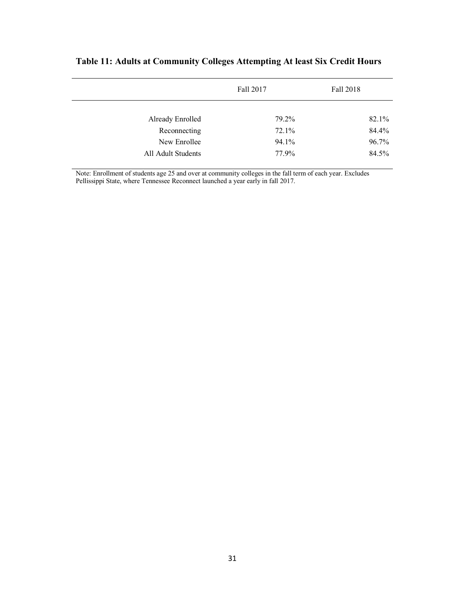|                    | Fall 2017 | Fall 2018 |
|--------------------|-----------|-----------|
|                    |           |           |
| Already Enrolled   | 79.2%     | 82.1%     |
| Reconnecting       | 72.1%     | 84.4%     |
| New Enrollee       | 94.1%     | 96.7%     |
| All Adult Students | 77.9%     | 84.5%     |

# **Table 11: Adults at Community Colleges Attempting At least Six Credit Hours**

Note: Enrollment of students age 25 and over at community colleges in the fall term of each year. Excludes Pellissippi State, where Tennessee Reconnect launched a year early in fall 2017.